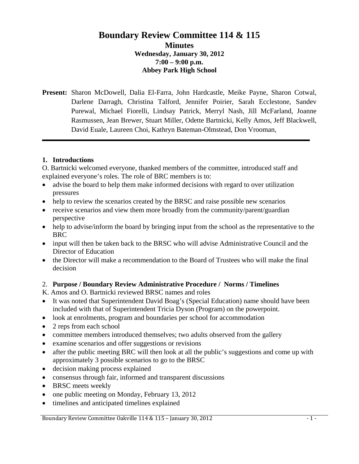# **Boundary Review Committee 114 & 115 Minutes Wednesday, January 30, 2012 7:00 – 9:00 p.m. Abbey Park High School**

**Present:** Sharon McDowell, Dalia El-Farra, John Hardcastle, Meike Payne, Sharon Cotwal, Darlene Darragh, Christina Talford, Jennifer Poirier, Sarah Ecclestone, Sandev Purewal, Michael Fiorelli, Lindsay Patrick, Merryl Nash, Jill McFarland, Joanne Rasmussen, Jean Brewer, Stuart Miller, Odette Bartnicki, Kelly Amos, Jeff Blackwell, David Euale, Laureen Choi, Kathryn Bateman-Olmstead, Don Vrooman,

### **1. Introductions**

O. Bartnicki welcomed everyone, thanked members of the committee, introduced staff and explained everyone's roles. The role of BRC members is to:

- advise the board to help them make informed decisions with regard to over utilization pressures
- help to review the scenarios created by the BRSC and raise possible new scenarios
- receive scenarios and view them more broadly from the community/parent/guardian perspective
- help to advise/inform the board by bringing input from the school as the representative to the BRC
- input will then be taken back to the BRSC who will advise Administrative Council and the Director of Education
- the Director will make a recommendation to the Board of Trustees who will make the final decision

### 2. **Purpose / Boundary Review Administrative Procedure / Norms / Timelines**

K. Amos and O. Bartnicki reviewed BRSC names and roles

- It was noted that Superintendent David Boag's (Special Education) name should have been included with that of Superintendent Tricia Dyson (Program) on the powerpoint.
- look at enrolments, program and boundaries per school for accommodation
- 2 reps from each school
- committee members introduced themselves; two adults observed from the gallery
- examine scenarios and offer suggestions or revisions
- after the public meeting BRC will then look at all the public's suggestions and come up with approximately 3 possible scenarios to go to the BRSC
- decision making process explained
- consensus through fair, informed and transparent discussions
- BRSC meets weekly
- one public meeting on Monday, February 13, 2012
- timelines and anticipated timelines explained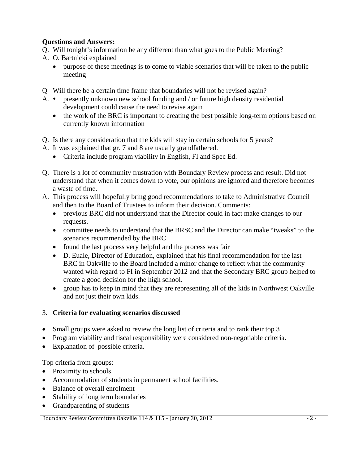## **Questions and Answers:**

- Q. Will tonight's information be any different than what goes to the Public Meeting?
- A. O. Bartnicki explained
	- purpose of these meetings is to come to viable scenarios that will be taken to the public meeting
- Q Will there be a certain time frame that boundaries will not be revised again?
- A.  $\bullet$  presently unknown new school funding and / or future high density residential development could cause the need to revise again
	- the work of the BRC is important to creating the best possible long-term options based on currently known information
- Q. Is there any consideration that the kids will stay in certain schools for 5 years?
- A. It was explained that gr. 7 and 8 are usually grandfathered.
	- Criteria include program viability in English, FI and Spec Ed.
- Q. There is a lot of community frustration with Boundary Review process and result. Did not understand that when it comes down to vote, our opinions are ignored and therefore becomes a waste of time.
- A. This process will hopefully bring good recommendations to take to Administrative Council and then to the Board of Trustees to inform their decision. Comments:
	- previous BRC did not understand that the Director could in fact make changes to our requests.
	- committee needs to understand that the BRSC and the Director can make "tweaks" to the scenarios recommended by the BRC
	- found the last process very helpful and the process was fair
	- D. Euale, Director of Education, explained that his final recommendation for the last BRC in Oakville to the Board included a minor change to reflect what the community wanted with regard to FI in September 2012 and that the Secondary BRC group helped to create a good decision for the high school.
	- group has to keep in mind that they are representing all of the kids in Northwest Oakville and not just their own kids.

## 3. **Criteria for evaluating scenarios discussed**

- Small groups were asked to review the long list of criteria and to rank their top 3
- Program viability and fiscal responsibility were considered non-negotiable criteria.
- Explanation of possible criteria.

Top criteria from groups:

- Proximity to schools
- Accommodation of students in permanent school facilities.
- Balance of overall enrolment
- Stability of long term boundaries
- Grandparenting of students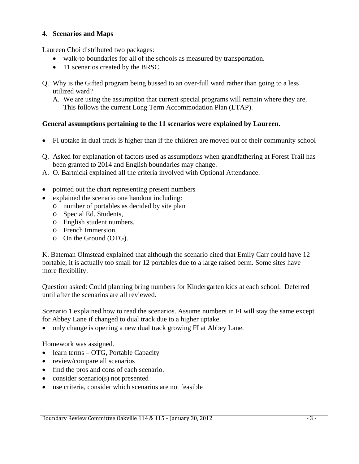### **4. Scenarios and Maps**

Laureen Choi distributed two packages:

- walk-to boundaries for all of the schools as measured by transportation.
- 11 scenarios created by the BRSC
- Q. Why is the Gifted program being bussed to an over-full ward rather than going to a less utilized ward?
	- A. We are using the assumption that current special programs will remain where they are. This follows the current Long Term Accommodation Plan (LTAP).

### **General assumptions pertaining to the 11 scenarios were explained by Laureen.**

- FI uptake in dual track is higher than if the children are moved out of their community school
- Q. Asked for explanation of factors used as assumptions when grandfathering at Forest Trail has been granted to 2014 and English boundaries may change.
- A. O. Bartnicki explained all the criteria involved with Optional Attendance.
- pointed out the chart representing present numbers
- explained the scenario one handout including:
	- o number of portables as decided by site plan
	- o Special Ed. Students,
	- o English student numbers,
	- o French Immersion,
	- o On the Ground (OTG).

K. Bateman Olmstead explained that although the scenario cited that Emily Carr could have 12 portable, it is actually too small for 12 portables due to a large raised berm. Some sites have more flexibility.

Question asked: Could planning bring numbers for Kindergarten kids at each school. Deferred until after the scenarios are all reviewed.

Scenario 1 explained how to read the scenarios. Assume numbers in FI will stay the same except for Abbey Lane if changed to dual track due to a higher uptake.

• only change is opening a new dual track growing FI at Abbey Lane.

Homework was assigned.

- learn terms OTG, Portable Capacity
- review/compare all scenarios
- find the pros and cons of each scenario.
- consider scenario(s) not presented
- use criteria, consider which scenarios are not feasible